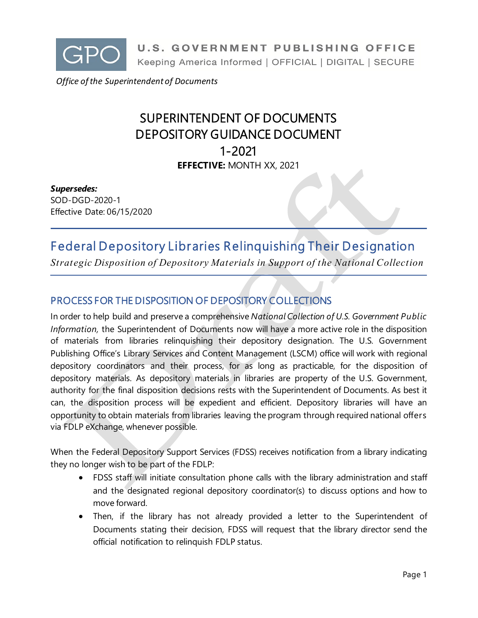

 *Office of the Superintendent of Documents*

# SUPERINTENDENT OF DOCUMENTS DEPOSITORY GUIDANCE DOCUMENT 1-2021 **EFFECTIVE:** MONTH XX, 2021

#### *Supersedes:*

SOD-DGD-2020-1 Effective Date: 06/15/2020

# Federal Depository Libraries Relinquishing Their Designation

*Strategic Disposition of Depository Materials in Support of the National Collection*

## PROCESS FOR THE DISPOSITION OF DEPOSITORY COLLECTIONS

In order to help build and preserve a comprehensive *National Collection of U.S. Government Public Information,* the Superintendent of Documents now will have a more active role in the disposition of materials from libraries relinquishing their depository designation. The U.S. Government Publishing Office's Library Services and Content Management (LSCM) office will work with regional depository coordinators and their process, for as long as practicable, for the disposition of depository materials. As depository materials in libraries are property of the U.S. Government, authority for the final disposition decisions rests with the Superintendent of Documents. As best it can, the disposition process will be expedient and efficient. Depository libraries will have an opportunity to obtain materials from libraries leaving the program through required national offers via FDLP eXchange, whenever possible.

When the Federal Depository Support Services (FDSS) receives notification from a library indicating they no longer wish to be part of the FDLP:

- FDSS staff will initiate consultation phone calls with the library administration and staff and the designated regional depository coordinator(s) to discuss options and how to move forward.
- Then, if the library has not already provided a letter to the Superintendent of Documents stating their decision, FDSS will request that the library director send the official notification to relinquish FDLP status.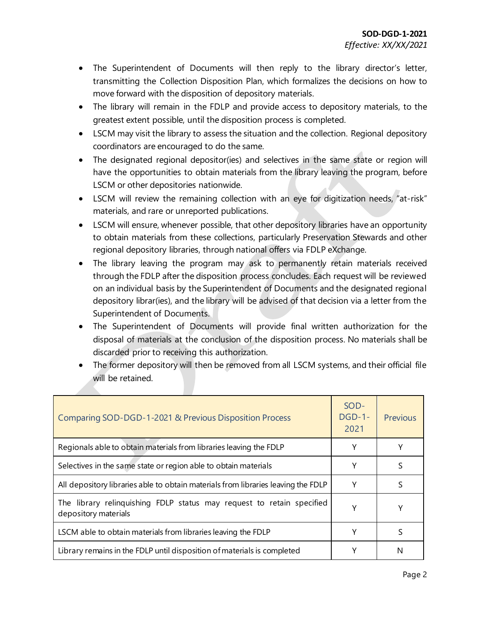- The Superintendent of Documents will then reply to the library director's letter, transmitting the Collection Disposition Plan, which formalizes the decisions on how to move forward with the disposition of depository materials.
- The library will remain in the FDLP and provide access to depository materials, to the greatest extent possible, until the disposition process is completed.
- LSCM may visit the library to assess the situation and the collection. Regional depository coordinators are encouraged to do the same.
- The designated regional depositor(ies) and selectives in the same state or region will have the opportunities to obtain materials from the library leaving the program, before LSCM or other depositories nationwide.
- LSCM will review the remaining collection with an eye for digitization needs, "at-risk" materials, and rare or unreported publications.
- LSCM will ensure, whenever possible, that other depository libraries have an opportunity to obtain materials from these collections, particularly Preservation Stewards and other regional depository libraries, through national offers via FDLP eXchange.
- The library leaving the program may ask to permanently retain materials received through the FDLP after the disposition process concludes. Each request will be reviewed on an individual basis by the Superintendent of Documents and the designated regional depository librar(ies), and the library will be advised of that decision via a letter from the Superintendent of Documents.
- The Superintendent of Documents will provide final written authorization for the disposal of materials at the conclusion of the disposition process. No materials shall be discarded prior to receiving this authorization.
- The former depository will then be removed from all LSCM systems, and their official file will be retained.

| Comparing SOD-DGD-1-2021 & Previous Disposition Process                                       | SOD-<br>$DGD-1-$<br>2021 | <b>Previous</b> |
|-----------------------------------------------------------------------------------------------|--------------------------|-----------------|
| Regionals able to obtain materials from libraries leaving the FDLP                            |                          |                 |
| Selectives in the same state or region able to obtain materials                               | Υ                        | S               |
| All depository libraries able to obtain materials from libraries leaving the FDLP             | Υ                        |                 |
| The library relinquishing FDLP status may request to retain specified<br>depository materials | γ                        |                 |
| LSCM able to obtain materials from libraries leaving the FDLP                                 | Υ                        |                 |
| Library remains in the FDLP until disposition of materials is completed                       |                          | N               |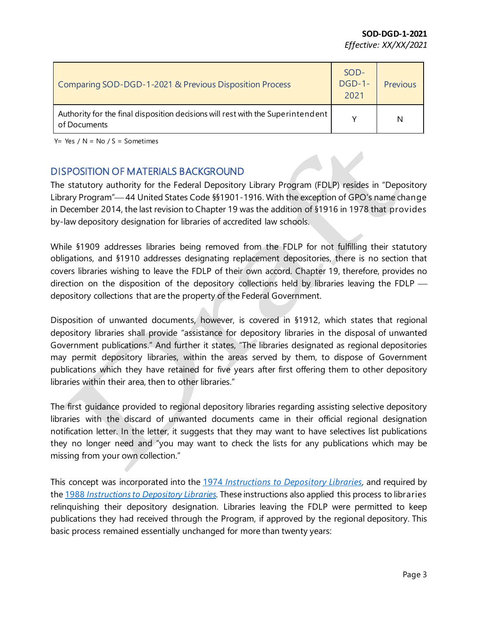| Comparing SOD-DGD-1-2021 & Previous Disposition Process                                         | SOD-<br>$DGD-1-$<br>2021 | <b>Previous</b> |
|-------------------------------------------------------------------------------------------------|--------------------------|-----------------|
| Authority for the final disposition decisions will rest with the Superintendent<br>of Documents | v                        | N               |

Y= Yes  $/N = No / S =$  Sometimes

### DISPOSITION OF MATERIALS BACKGROUND

The statutory authority for the Federal Depository Library Program (FDLP) resides in "Depository Library Program"—44 United States Code §§1901-1916. With the exception of GPO's name change in December 2014, the last revision to Chapter 19 was the addition of §1916 in 1978 that provides by-law depository designation for libraries of accredited law schools.

While §1909 addresses libraries being removed from the FDLP for not fulfilling their statutory obligations, and §1910 addresses designating replacement depositories, there is no section that covers libraries wishing to leave the FDLP of their own accord. Chapter 19, therefore, provides no direction on the disposition of the depository collections held by libraries leaving the FDLP depository collections that are the property of the Federal Government.

Disposition of unwanted documents, however, is covered in §1912, which states that regional depository libraries shall provide "assistance for depository libraries in the disposal of unwanted Government publications." And further it states, "The libraries designated as regional depositories may permit depository libraries, within the areas served by them, to dispose of Government publications which they have retained for five years after first offering them to other depository libraries within their area, then to other libraries."

The first guidance provided to regional depository libraries regarding assisting selective depository libraries with the discard of unwanted documents came in their official regional designation notification letter. In the letter, it suggests that they may want to have selectives list publications they no longer need and "you may want to check the lists for any publications which may be missing from your own collection."

This concept was incorporated into the 1974 *[Instructions to Depository Libraries](https://hdl.handle.net/2027/uiug.30112097049479?urlappend=%3Bseq=10),* and required by the 1988 *[Instructions to Depository Libraries](https://www.govinfo.gov/content/pkg/GOVPUB-GP3-c5659289aa34e3584ea51ffe643baf2d/pdf/GOVPUB-GP3-c5659289aa34e3584ea51ffe643baf2d.pdf)*. These instructions also applied this process to libraries relinquishing their depository designation. Libraries leaving the FDLP were permitted to keep publications they had received through the Program, if approved by the regional depository. This basic process remained essentially unchanged for more than twenty years: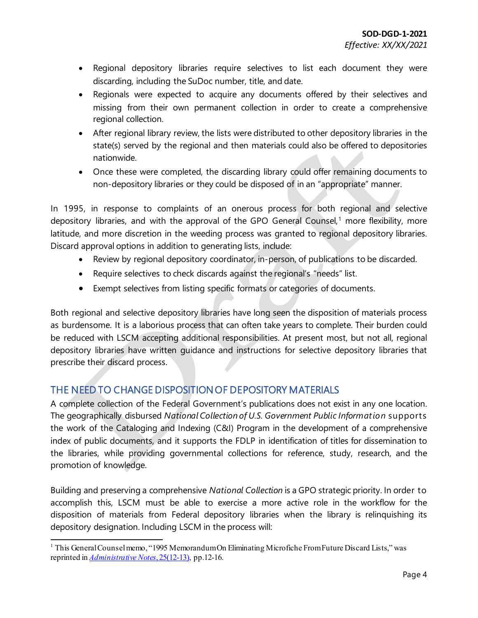- Regional depository libraries require selectives to list each document they were discarding, including the SuDoc number, title, and date.
- Regionals were expected to acquire any documents offered by their selectives and missing from their own permanent collection in order to create a comprehensive regional collection.
- After regional library review, the lists were distributed to other depository libraries in the state(s) served by the regional and then materials could also be offered to depositories nationwide.
- Once these were completed, the discarding library could offer remaining documents to non-depository libraries or they could be disposed of in an "appropriate" manner.

In 1995, in response to complaints of an onerous process for both regional and selective depository libraries, and with the approval of the GPO General Counsel,<sup>[1](#page-3-0)</sup> more flexibility, more latitude, and more discretion in the weeding process was granted to regional depository libraries. Discard approval options in addition to generating lists, include:

- Review by regional depository coordinator, in-person, of publications to be discarded.
- Require selectives to check discards against the regional's "needs" list.
- Exempt selectives from listing specific formats or categories of documents.

Both regional and selective depository libraries have long seen the disposition of materials process as burdensome. It is a laborious process that can often take years to complete. Their burden could be reduced with LSCM accepting additional responsibilities. At present most, but not all, regional depository libraries have written guidance and instructions for selective depository libraries that prescribe their discard process.

### THE NEED TO CHANGE DISPOSITION OF DEPOSITORY MATERIALS

A complete collection of the Federal Government's publications does not exist in any one location. The geographically disbursed *National Collection of U.S. Government Public Information* supports the work of the Cataloging and Indexing (C&I) Program in the development of a comprehensive index of public documents, and it supports the FDLP in identification of titles for dissemination to the libraries, while providing governmental collections for reference, study, research, and the promotion of knowledge.

Building and preserving a comprehensive *National Collection* is a GPO strategic priority. In order to accomplish this, LSCM must be able to exercise a more active role in the workflow for the disposition of materials from Federal depository libraries when the library is relinquishing its depository designation. Including LSCM in the process will:

<span id="page-3-0"></span> <sup>1</sup> This GeneralCounsel memo, "1995 Memorandum On Eliminating Microfiche From Future Discard Lists," was reprinted in *[Administrative Notes](https://www.govinfo.gov/content/pkg/GOVPUB-GP3-dce6e0027d305b2f7767cef944feb360/pdf/GOVPUB-GP3-dce6e0027d305b2f7767cef944feb360.pdf)*, 25(12-13), pp.12-16.